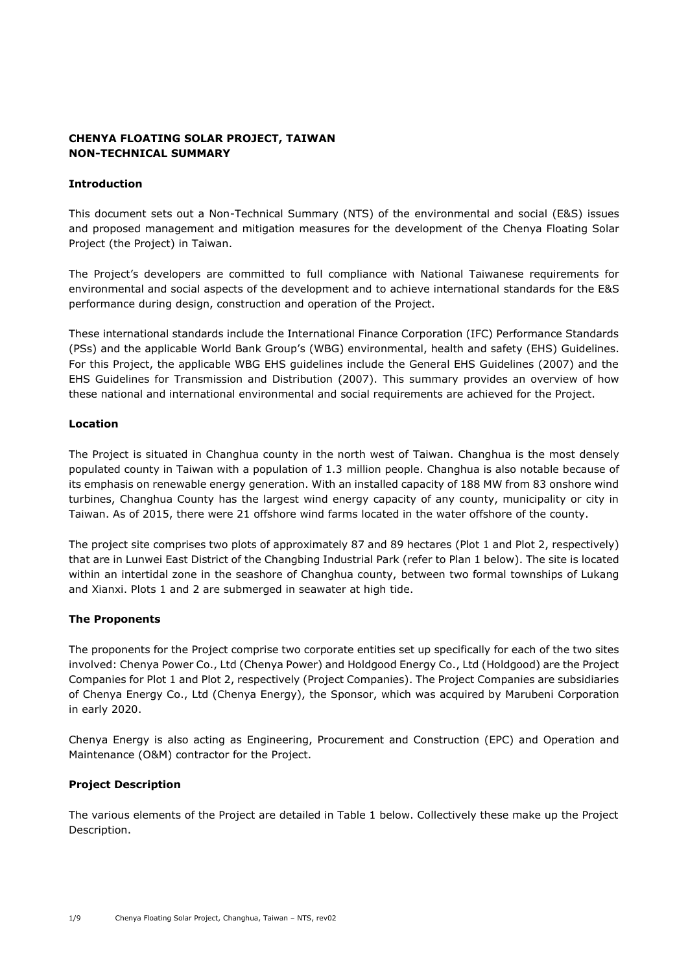# **CHENYA FLOATING SOLAR PROJECT, TAIWAN NON-TECHNICAL SUMMARY**

# **Introduction**

This document sets out a Non-Technical Summary (NTS) of the environmental and social (E&S) issues and proposed management and mitigation measures for the development of the Chenya Floating Solar Project (the Project) in Taiwan.

The Project's developers are committed to full compliance with National Taiwanese requirements for environmental and social aspects of the development and to achieve international standards for the E&S performance during design, construction and operation of the Project.

These international standards include the International Finance Corporation (IFC) Performance Standards (PSs) and the applicable World Bank Group's (WBG) environmental, health and safety (EHS) Guidelines. For this Project, the applicable WBG EHS guidelines include the General EHS Guidelines (2007) and the EHS Guidelines for Transmission and Distribution (2007). This summary provides an overview of how these national and international environmental and social requirements are achieved for the Project.

# **Location**

The Project is situated in Changhua county in the north west of Taiwan. Changhua is the most densely populated county in Taiwan with a population of 1.3 million people. Changhua is also notable because of its emphasis on renewable energy generation. With an installed capacity of 188 MW from 83 onshore wind turbines, Changhua County has the largest wind energy capacity of any county, municipality or city in Taiwan. As of 2015, there were 21 offshore wind farms located in the water offshore of the county.

The project site comprises two plots of approximately 87 and 89 hectares (Plot 1 and Plot 2, respectively) that are in Lunwei East District of the Changbing Industrial Park (refer to Plan 1 below). The site is located within an intertidal zone in the seashore of Changhua county, between two formal townships of Lukang and Xianxi. Plots 1 and 2 are submerged in seawater at high tide.

# **The Proponents**

The proponents for the Project comprise two corporate entities set up specifically for each of the two sites involved: Chenya Power Co., Ltd (Chenya Power) and Holdgood Energy Co., Ltd (Holdgood) are the Project Companies for Plot 1 and Plot 2, respectively (Project Companies). The Project Companies are subsidiaries of Chenya Energy Co., Ltd (Chenya Energy), the Sponsor, which was acquired by Marubeni Corporation in early 2020.

Chenya Energy is also acting as Engineering, Procurement and Construction (EPC) and Operation and Maintenance (O&M) contractor for the Project.

# **Project Description**

The various elements of the Project are detailed in Table 1 below. Collectively these make up the Project Description.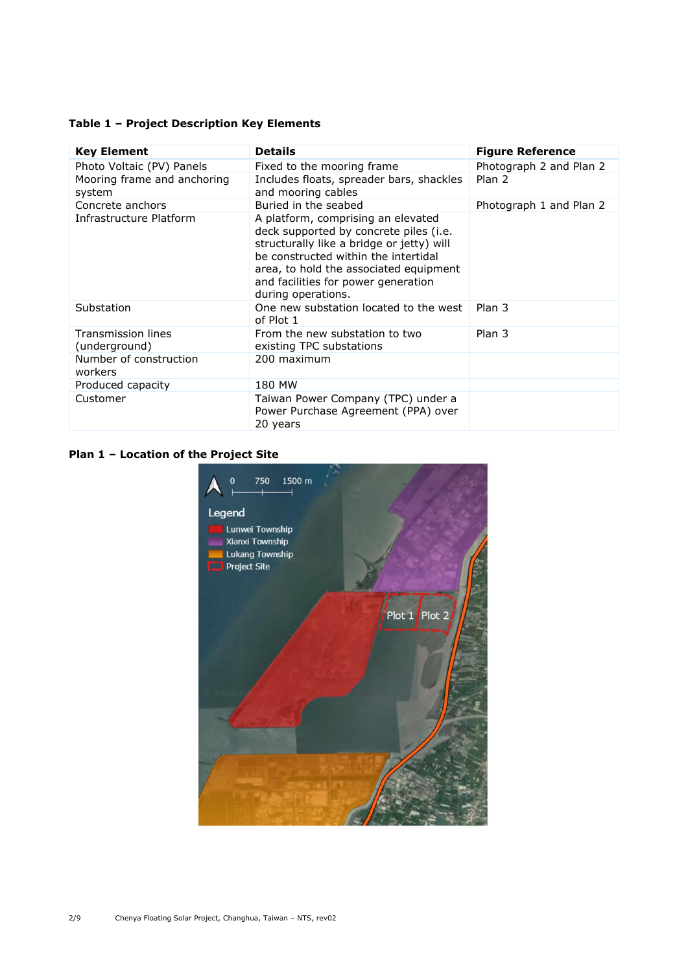# **Table 1 – Project Description Key Elements**

| <b>Key Element</b>                    | <b>Details</b>                                                                                                                                                                                                                                                           | <b>Figure Reference</b> |
|---------------------------------------|--------------------------------------------------------------------------------------------------------------------------------------------------------------------------------------------------------------------------------------------------------------------------|-------------------------|
| Photo Voltaic (PV) Panels             | Fixed to the mooring frame                                                                                                                                                                                                                                               | Photograph 2 and Plan 2 |
| Mooring frame and anchoring<br>system | Includes floats, spreader bars, shackles<br>and mooring cables                                                                                                                                                                                                           | Plan 2                  |
| Concrete anchors                      | Buried in the seabed                                                                                                                                                                                                                                                     | Photograph 1 and Plan 2 |
| Infrastructure Platform               | A platform, comprising an elevated<br>deck supported by concrete piles (i.e.<br>structurally like a bridge or jetty) will<br>be constructed within the intertidal<br>area, to hold the associated equipment<br>and facilities for power generation<br>during operations. |                         |
| Substation                            | One new substation located to the west<br>of Plot 1                                                                                                                                                                                                                      | Plan 3                  |
| Transmission lines<br>(underground)   | From the new substation to two<br>existing TPC substations                                                                                                                                                                                                               | Plan 3                  |
| Number of construction<br>workers     | 200 maximum                                                                                                                                                                                                                                                              |                         |
| Produced capacity                     | 180 MW                                                                                                                                                                                                                                                                   |                         |
| Customer                              | Taiwan Power Company (TPC) under a<br>Power Purchase Agreement (PPA) over<br>20 years                                                                                                                                                                                    |                         |

# **Plan 1 – Location of the Project Site**

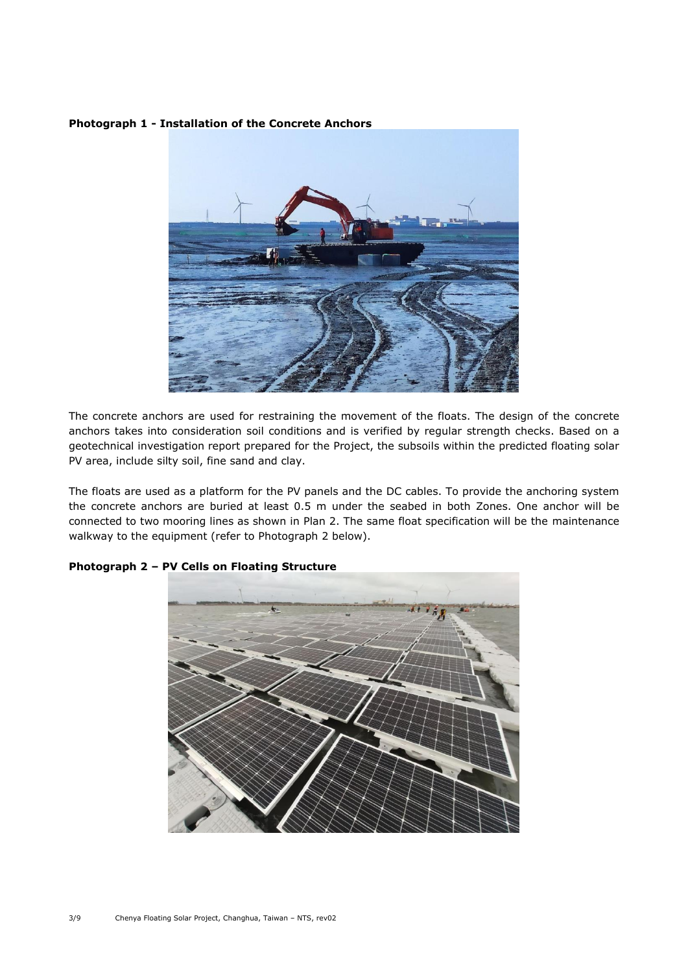### **Photograph 1 - Installation of the Concrete Anchors**



The concrete anchors are used for restraining the movement of the floats. The design of the concrete anchors takes into consideration soil conditions and is verified by regular strength checks. Based on a geotechnical investigation report prepared for the Project, the subsoils within the predicted floating solar PV area, include silty soil, fine sand and clay.

The floats are used as a platform for the PV panels and the DC cables. To provide the anchoring system the concrete anchors are buried at least 0.5 m under the seabed in both Zones. One anchor will be connected to two mooring lines as shown in Plan 2. The same float specification will be the maintenance walkway to the equipment (refer to Photograph 2 below).



# **Photograph 2 – PV Cells on Floating Structure**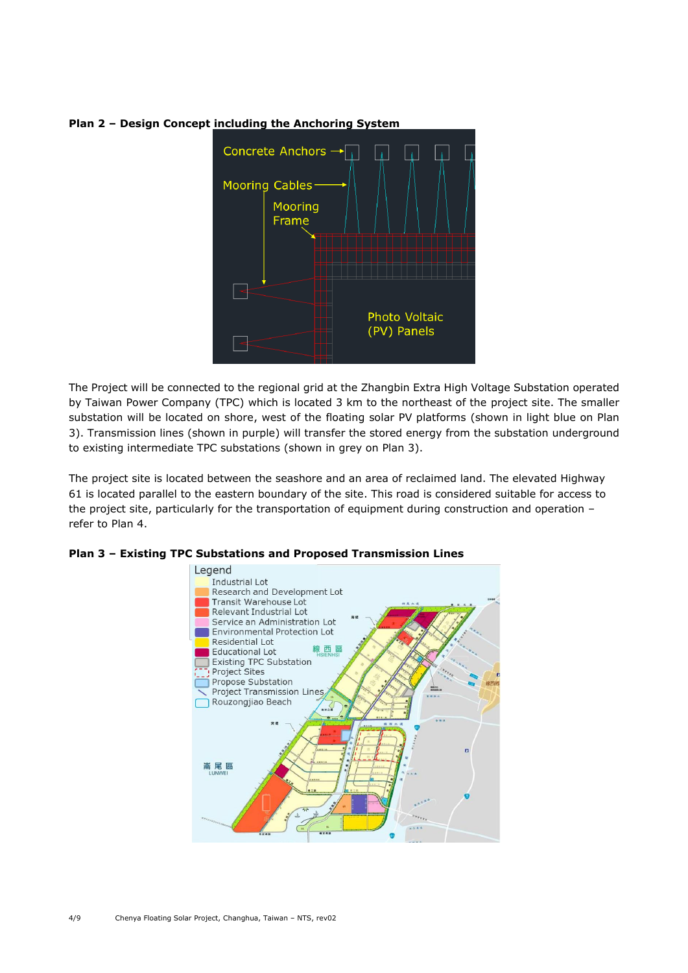

# **Plan 2 – Design Concept including the Anchoring System**

The Project will be connected to the regional grid at the Zhangbin Extra High Voltage Substation operated by Taiwan Power Company (TPC) which is located 3 km to the northeast of the project site. The smaller substation will be located on shore, west of the floating solar PV platforms (shown in light blue on Plan 3). Transmission lines (shown in purple) will transfer the stored energy from the substation underground to existing intermediate TPC substations (shown in grey on Plan 3).

The project site is located between the seashore and an area of reclaimed land. The elevated Highway 61 is located parallel to the eastern boundary of the site. This road is considered suitable for access to the project site, particularly for the transportation of equipment during construction and operation – refer to Plan 4.



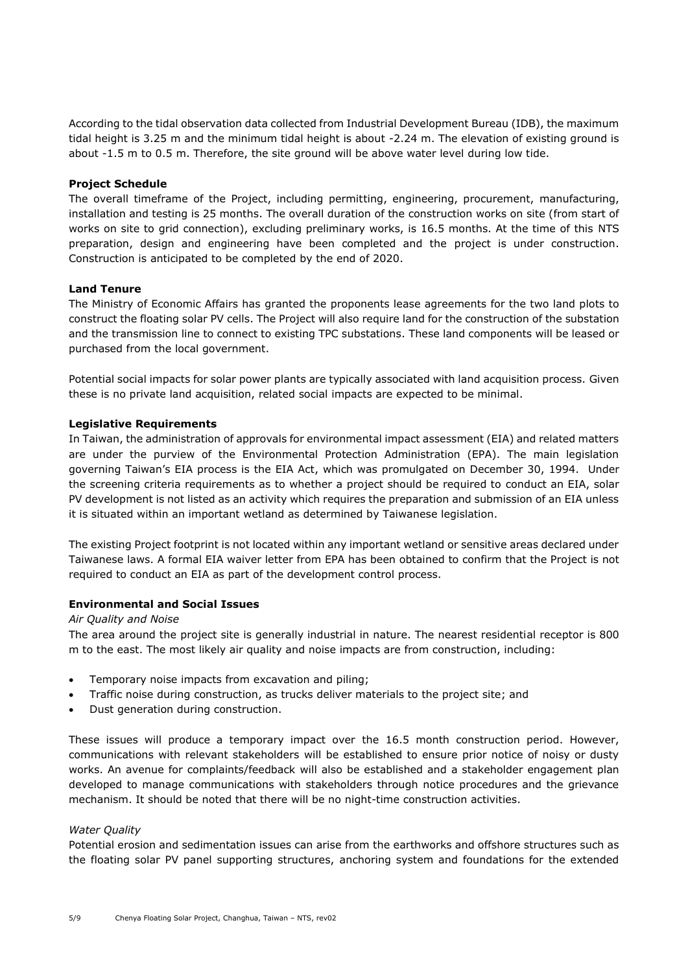According to the tidal observation data collected from Industrial Development Bureau (IDB), the maximum tidal height is 3.25 m and the minimum tidal height is about -2.24 m. The elevation of existing ground is about -1.5 m to 0.5 m. Therefore, the site ground will be above water level during low tide.

### **Project Schedule**

The overall timeframe of the Project, including permitting, engineering, procurement, manufacturing, installation and testing is 25 months. The overall duration of the construction works on site (from start of works on site to grid connection), excluding preliminary works, is 16.5 months. At the time of this NTS preparation, design and engineering have been completed and the project is under construction. Construction is anticipated to be completed by the end of 2020.

### **Land Tenure**

The Ministry of Economic Affairs has granted the proponents lease agreements for the two land plots to construct the floating solar PV cells. The Project will also require land for the construction of the substation and the transmission line to connect to existing TPC substations. These land components will be leased or purchased from the local government.

Potential social impacts for solar power plants are typically associated with land acquisition process. Given these is no private land acquisition, related social impacts are expected to be minimal.

# **Legislative Requirements**

In Taiwan, the administration of approvals for environmental impact assessment (EIA) and related matters are under the purview of the Environmental Protection Administration (EPA). The main legislation governing Taiwan's EIA process is the EIA Act, which was promulgated on December 30, 1994. Under the screening criteria requirements as to whether a project should be required to conduct an EIA, solar PV development is not listed as an activity which requires the preparation and submission of an EIA unless it is situated within an important wetland as determined by Taiwanese legislation.

The existing Project footprint is not located within any important wetland or sensitive areas declared under Taiwanese laws. A formal EIA waiver letter from EPA has been obtained to confirm that the Project is not required to conduct an EIA as part of the development control process.

# **Environmental and Social Issues**

#### *Air Quality and Noise*

The area around the project site is generally industrial in nature. The nearest residential receptor is 800 m to the east. The most likely air quality and noise impacts are from construction, including:

- Temporary noise impacts from excavation and piling;
- Traffic noise during construction, as trucks deliver materials to the project site; and
- Dust generation during construction.

These issues will produce a temporary impact over the 16.5 month construction period. However, communications with relevant stakeholders will be established to ensure prior notice of noisy or dusty works. An avenue for complaints/feedback will also be established and a stakeholder engagement plan developed to manage communications with stakeholders through notice procedures and the grievance mechanism. It should be noted that there will be no night-time construction activities.

#### *Water Quality*

Potential erosion and sedimentation issues can arise from the earthworks and offshore structures such as the floating solar PV panel supporting structures, anchoring system and foundations for the extended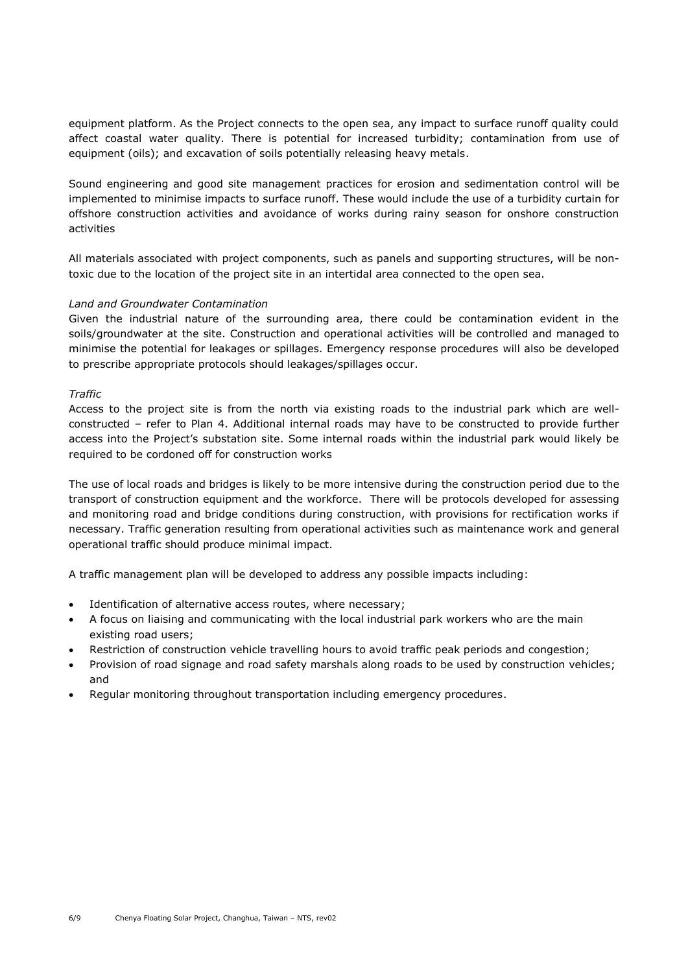equipment platform. As the Project connects to the open sea, any impact to surface runoff quality could affect coastal water quality. There is potential for increased turbidity; contamination from use of equipment (oils); and excavation of soils potentially releasing heavy metals.

Sound engineering and good site management practices for erosion and sedimentation control will be implemented to minimise impacts to surface runoff. These would include the use of a turbidity curtain for offshore construction activities and avoidance of works during rainy season for onshore construction activities

All materials associated with project components, such as panels and supporting structures, will be nontoxic due to the location of the project site in an intertidal area connected to the open sea.

# *Land and Groundwater Contamination*

Given the industrial nature of the surrounding area, there could be contamination evident in the soils/groundwater at the site. Construction and operational activities will be controlled and managed to minimise the potential for leakages or spillages. Emergency response procedures will also be developed to prescribe appropriate protocols should leakages/spillages occur.

# *Traffic*

Access to the project site is from the north via existing roads to the industrial park which are wellconstructed – refer to Plan 4. Additional internal roads may have to be constructed to provide further access into the Project's substation site. Some internal roads within the industrial park would likely be required to be cordoned off for construction works

The use of local roads and bridges is likely to be more intensive during the construction period due to the transport of construction equipment and the workforce. There will be protocols developed for assessing and monitoring road and bridge conditions during construction, with provisions for rectification works if necessary. Traffic generation resulting from operational activities such as maintenance work and general operational traffic should produce minimal impact.

A traffic management plan will be developed to address any possible impacts including:

- Identification of alternative access routes, where necessary;
- A focus on liaising and communicating with the local industrial park workers who are the main existing road users;
- Restriction of construction vehicle travelling hours to avoid traffic peak periods and congestion;
- Provision of road signage and road safety marshals along roads to be used by construction vehicles; and
- Regular monitoring throughout transportation including emergency procedures.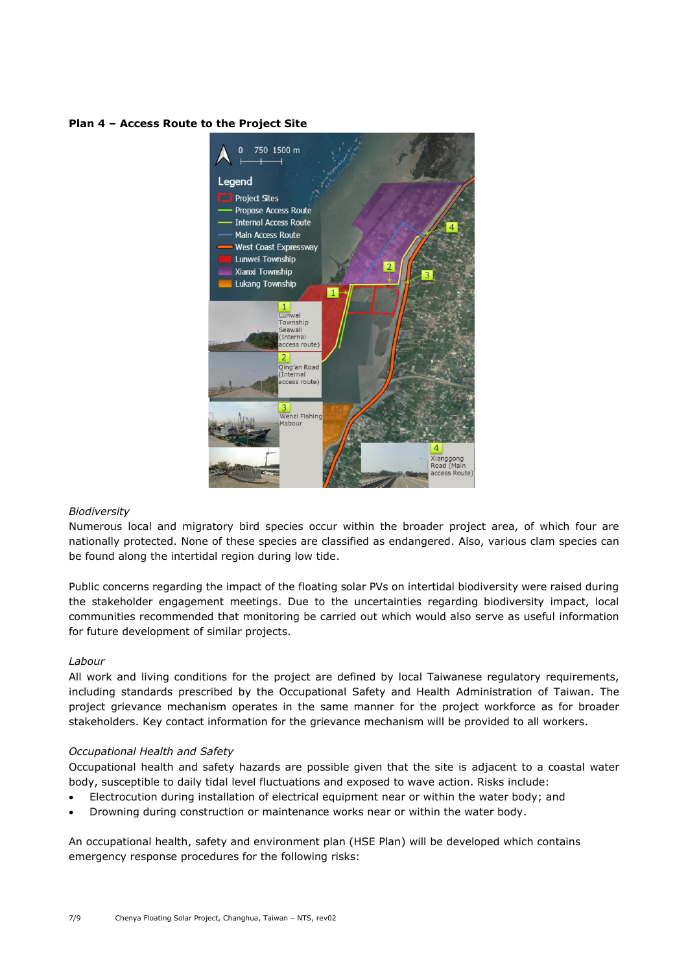### **Plan 4 – Access Route to the Project Site**



#### *Biodiversity*

Numerous local and migratory bird species occur within the broader project area, of which four are nationally protected. None of these species are classified as endangered. Also, various clam species can be found along the intertidal region during low tide.

Public concerns regarding the impact of the floating solar PVs on intertidal biodiversity were raised during the stakeholder engagement meetings. Due to the uncertainties regarding biodiversity impact, local communities recommended that monitoring be carried out which would also serve as useful information for future development of similar projects.

#### *Labour*

All work and living conditions for the project are defined by local Taiwanese regulatory requirements, including standards prescribed by the Occupational Safety and Health Administration of Taiwan. The project grievance mechanism operates in the same manner for the project workforce as for broader stakeholders. Key contact information for the grievance mechanism will be provided to all workers.

# *Occupational Health and Safety*

Occupational health and safety hazards are possible given that the site is adjacent to a coastal water body, susceptible to daily tidal level fluctuations and exposed to wave action. Risks include:

- Electrocution during installation of electrical equipment near or within the water body; and
- Drowning during construction or maintenance works near or within the water body.

An occupational health, safety and environment plan (HSE Plan) will be developed which contains emergency response procedures for the following risks: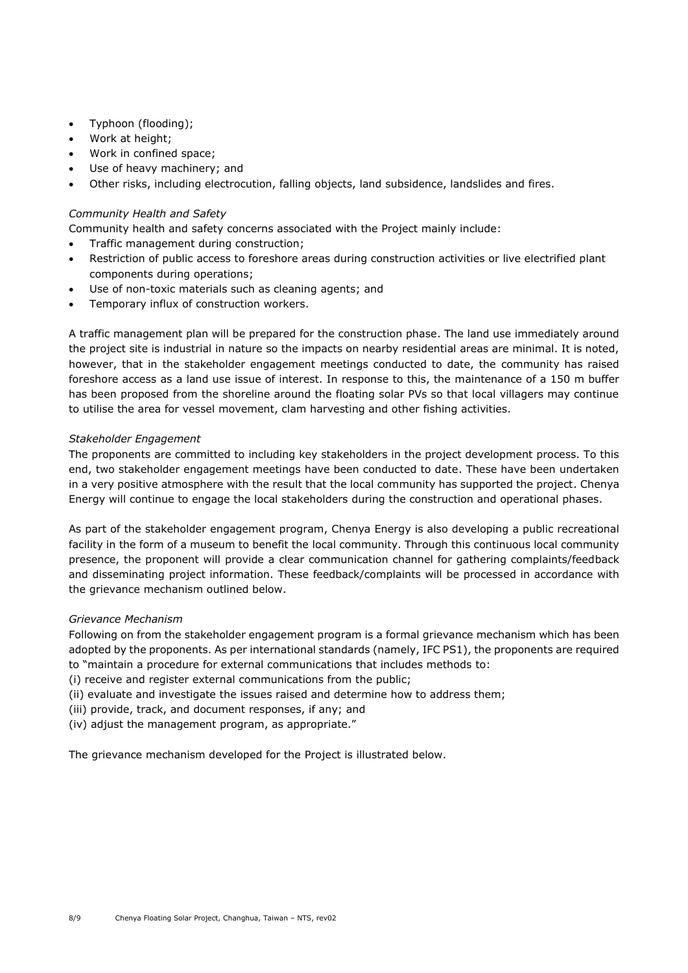- Typhoon (flooding);
- Work at height:
- Work in confined space;
- Use of heavy machinery; and
- Other risks, including electrocution, falling objects, land subsidence, landslides and fires.

# *Community Health and Safety*

Community health and safety concerns associated with the Project mainly include:

- Traffic management during construction;
- Restriction of public access to foreshore areas during construction activities or live electrified plant components during operations;
- Use of non-toxic materials such as cleaning agents; and
- Temporary influx of construction workers.

A traffic management plan will be prepared for the construction phase. The land use immediately around the project site is industrial in nature so the impacts on nearby residential areas are minimal. It is noted, however, that in the stakeholder engagement meetings conducted to date, the community has raised foreshore access as a land use issue of interest. In response to this, the maintenance of a 150 m buffer has been proposed from the shoreline around the floating solar PVs so that local villagers may continue to utilise the area for vessel movement, clam harvesting and other fishing activities.

# *Stakeholder Engagement*

The proponents are committed to including key stakeholders in the project development process. To this end, two stakeholder engagement meetings have been conducted to date. These have been undertaken in a very positive atmosphere with the result that the local community has supported the project. Chenya Energy will continue to engage the local stakeholders during the construction and operational phases.

As part of the stakeholder engagement program, Chenya Energy is also developing a public recreational facility in the form of a museum to benefit the local community. Through this continuous local community presence, the proponent will provide a clear communication channel for gathering complaints/feedback and disseminating project information. These feedback/complaints will be processed in accordance with the grievance mechanism outlined below.

# *Grievance Mechanism*

Following on from the stakeholder engagement program is a formal grievance mechanism which has been adopted by the proponents. As per international standards (namely, IFC PS1), the proponents are required to "maintain a procedure for external communications that includes methods to:

- (i) receive and register external communications from the public;
- (ii) evaluate and investigate the issues raised and determine how to address them;
- (iii) provide, track, and document responses, if any; and
- (iv) adjust the management program, as appropriate."

The grievance mechanism developed for the Project is illustrated below.